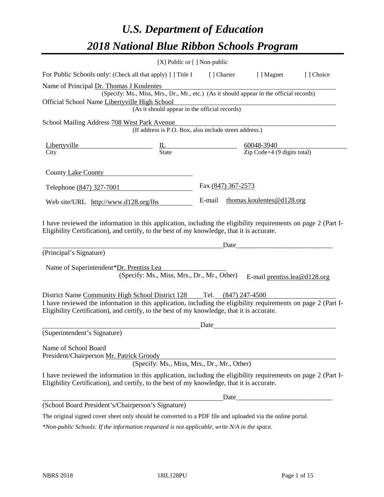# *U.S. Department of Education 2018 National Blue Ribbon Schools Program*

|                                                                                                                                                                                                                                                                  | [X] Public or [] Non-public                                                                                                               |                                                         |                     |                                  |           |
|------------------------------------------------------------------------------------------------------------------------------------------------------------------------------------------------------------------------------------------------------------------|-------------------------------------------------------------------------------------------------------------------------------------------|---------------------------------------------------------|---------------------|----------------------------------|-----------|
| For Public Schools only: (Check all that apply) [ ] Title I                                                                                                                                                                                                      |                                                                                                                                           |                                                         | [ ] Charter         | [ ] Magnet                       | [] Choice |
| Name of Principal Dr. Thomas J Koulentes<br>Official School Name Libertyville High School                                                                                                                                                                        | (Specify: Ms., Miss, Mrs., Dr., Mr., etc.) (As it should appear in the official records)<br>(As it should appear in the official records) |                                                         |                     |                                  |           |
| School Mailing Address 708 West Park Avenue                                                                                                                                                                                                                      | (If address is P.O. Box, also include street address.)                                                                                    |                                                         |                     |                                  |           |
| Libertyville<br>City                                                                                                                                                                                                                                             | $\frac{1L}{\text{State}}$                                                                                                                 | $\frac{60048-3940}{\text{Zip Code}+4 (9 digits total)}$ |                     |                                  |           |
| County Lake County                                                                                                                                                                                                                                               |                                                                                                                                           |                                                         |                     |                                  |           |
| Telephone (847) 327-7001                                                                                                                                                                                                                                         |                                                                                                                                           | Fax (847) 367-2573                                      |                     |                                  |           |
| Web site/URL http://www.d128.org/lhs                                                                                                                                                                                                                             |                                                                                                                                           |                                                         |                     | E-mail thomas.koulentes@d128.org |           |
| Eligibility Certification), and certify, to the best of my knowledge, that it is accurate.<br>(Principal's Signature)<br>Name of Superintendent*Dr. Prentiss Lea                                                                                                 | (Specify: Ms., Miss, Mrs., Dr., Mr., Other)                                                                                               |                                                         |                     | E-mail prentiss.lea@d128.org     |           |
| District Name Community High School District 128<br>I have reviewed the information in this application, including the eligibility requirements on page 2 (Part I-<br>Eligibility Certification), and certify, to the best of my knowledge, that it is accurate. |                                                                                                                                           |                                                         | Tel. (847) 247-4500 |                                  |           |
| (Superintendent's Signature)                                                                                                                                                                                                                                     |                                                                                                                                           | Date                                                    |                     |                                  |           |
| Name of School Board<br>President/Chairperson Mr. Patrick Groody                                                                                                                                                                                                 | (Specify: Ms., Miss, Mrs., Dr., Mr., Other)                                                                                               |                                                         |                     |                                  |           |
| I have reviewed the information in this application, including the eligibility requirements on page 2 (Part I-<br>Eligibility Certification), and certify, to the best of my knowledge, that it is accurate.                                                     |                                                                                                                                           |                                                         |                     |                                  |           |
|                                                                                                                                                                                                                                                                  |                                                                                                                                           |                                                         |                     |                                  |           |
| (School Board President's/Chairperson's Signature)                                                                                                                                                                                                               |                                                                                                                                           |                                                         |                     |                                  |           |
| The original signed cover sheet only should be converted to a PDF file and uploaded via the online portal.                                                                                                                                                       |                                                                                                                                           |                                                         |                     |                                  |           |

*\*Non-public Schools: If the information requested is not applicable, write N/A in the space.*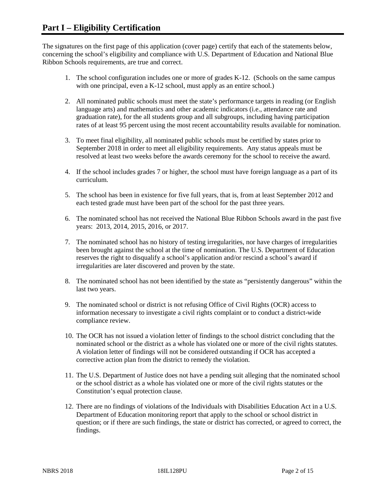The signatures on the first page of this application (cover page) certify that each of the statements below, concerning the school's eligibility and compliance with U.S. Department of Education and National Blue Ribbon Schools requirements, are true and correct.

- 1. The school configuration includes one or more of grades K-12. (Schools on the same campus with one principal, even a K-12 school, must apply as an entire school.)
- 2. All nominated public schools must meet the state's performance targets in reading (or English language arts) and mathematics and other academic indicators (i.e., attendance rate and graduation rate), for the all students group and all subgroups, including having participation rates of at least 95 percent using the most recent accountability results available for nomination.
- 3. To meet final eligibility, all nominated public schools must be certified by states prior to September 2018 in order to meet all eligibility requirements. Any status appeals must be resolved at least two weeks before the awards ceremony for the school to receive the award.
- 4. If the school includes grades 7 or higher, the school must have foreign language as a part of its curriculum.
- 5. The school has been in existence for five full years, that is, from at least September 2012 and each tested grade must have been part of the school for the past three years.
- 6. The nominated school has not received the National Blue Ribbon Schools award in the past five years: 2013, 2014, 2015, 2016, or 2017.
- 7. The nominated school has no history of testing irregularities, nor have charges of irregularities been brought against the school at the time of nomination. The U.S. Department of Education reserves the right to disqualify a school's application and/or rescind a school's award if irregularities are later discovered and proven by the state.
- 8. The nominated school has not been identified by the state as "persistently dangerous" within the last two years.
- 9. The nominated school or district is not refusing Office of Civil Rights (OCR) access to information necessary to investigate a civil rights complaint or to conduct a district-wide compliance review.
- 10. The OCR has not issued a violation letter of findings to the school district concluding that the nominated school or the district as a whole has violated one or more of the civil rights statutes. A violation letter of findings will not be considered outstanding if OCR has accepted a corrective action plan from the district to remedy the violation.
- 11. The U.S. Department of Justice does not have a pending suit alleging that the nominated school or the school district as a whole has violated one or more of the civil rights statutes or the Constitution's equal protection clause.
- 12. There are no findings of violations of the Individuals with Disabilities Education Act in a U.S. Department of Education monitoring report that apply to the school or school district in question; or if there are such findings, the state or district has corrected, or agreed to correct, the findings.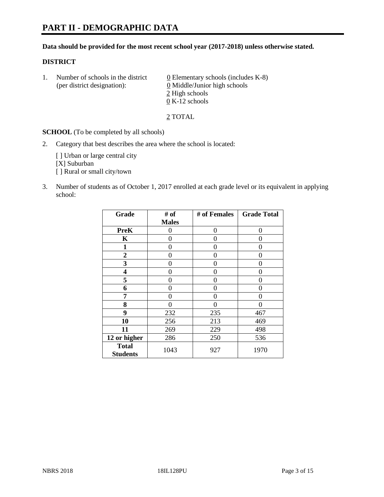#### **Data should be provided for the most recent school year (2017-2018) unless otherwise stated.**

## **DISTRICT**

1. Number of schools in the district  $0$  Elementary schools (includes K-8) (per district designation): 0 Middle/Junior high schools 2 High schools 0 K-12 schools

2 TOTAL

**SCHOOL** (To be completed by all schools)

2. Category that best describes the area where the school is located:

[] Urban or large central city [X] Suburban [] Rural or small city/town

3. Number of students as of October 1, 2017 enrolled at each grade level or its equivalent in applying school:

| Grade                           | # of         | # of Females | <b>Grade Total</b> |
|---------------------------------|--------------|--------------|--------------------|
|                                 | <b>Males</b> |              |                    |
| <b>PreK</b>                     | 0            | 0            | 0                  |
| K                               | 0            | 0            | $\mathbf{\Omega}$  |
| $\mathbf{1}$                    | 0            | 0            | 0                  |
| 2                               | 0            | 0            | 0                  |
| 3                               | 0            | 0            | 0                  |
| 4                               | 0            | 0            | 0                  |
| 5                               | 0            | 0            | $\mathbf{\Omega}$  |
| 6                               | 0            | 0            | 0                  |
| 7                               | 0            | 0            | 0                  |
| 8                               | 0            | 0            | 0                  |
| 9                               | 232          | 235          | 467                |
| 10                              | 256          | 213          | 469                |
| 11                              | 269          | 229          | 498                |
| 12 or higher                    | 286          | 250          | 536                |
| <b>Total</b><br><b>Students</b> | 1043         | 927          | 1970               |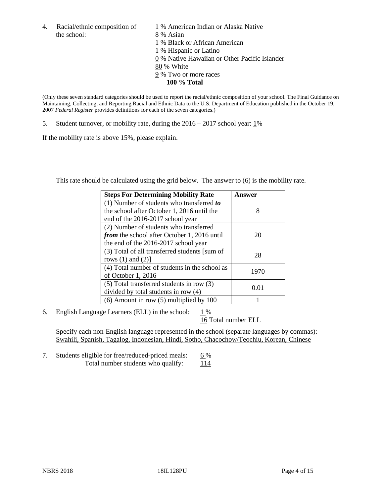4. Racial/ethnic composition of  $1\%$  American Indian or Alaska Native the school: 8 % Asian

 % Black or African American % Hispanic or Latino % Native Hawaiian or Other Pacific Islander 80 % White % Two or more races **100 % Total**

(Only these seven standard categories should be used to report the racial/ethnic composition of your school. The Final Guidance on Maintaining, Collecting, and Reporting Racial and Ethnic Data to the U.S. Department of Education published in the October 19, 2007 *Federal Register* provides definitions for each of the seven categories.)

5. Student turnover, or mobility rate, during the 2016 – 2017 school year: 1%

If the mobility rate is above 15%, please explain.

This rate should be calculated using the grid below. The answer to (6) is the mobility rate.

| <b>Steps For Determining Mobility Rate</b>         | Answer |  |
|----------------------------------------------------|--------|--|
| $(1)$ Number of students who transferred to        |        |  |
| the school after October 1, 2016 until the         | 8      |  |
| end of the 2016-2017 school year                   |        |  |
| (2) Number of students who transferred             |        |  |
| <i>from</i> the school after October 1, 2016 until | 20     |  |
| the end of the 2016-2017 school year               |        |  |
| (3) Total of all transferred students [sum of      | 28     |  |
| rows $(1)$ and $(2)$ ]                             |        |  |
| (4) Total number of students in the school as      |        |  |
| of October 1, 2016                                 | 1970   |  |
| $(5)$ Total transferred students in row $(3)$      |        |  |
| divided by total students in row (4)               | 0.01   |  |
| $(6)$ Amount in row $(5)$ multiplied by 100        |        |  |

6. English Language Learners (ELL) in the school:  $1\%$ 

16 Total number ELL

Specify each non-English language represented in the school (separate languages by commas): Swahili, Spanish, Tagalog, Indonesian, Hindi, Sotho, Chacochow/Teochiu, Korean, Chinese

7. Students eligible for free/reduced-priced meals: 6% Total number students who qualify:  $114$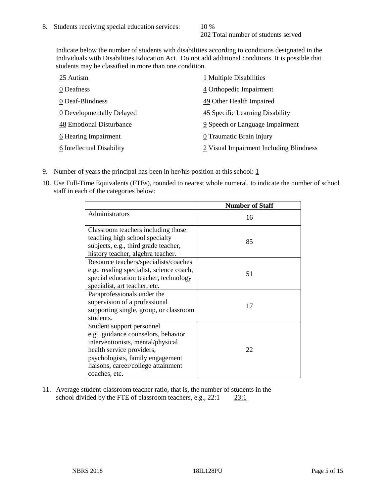202 Total number of students served

Indicate below the number of students with disabilities according to conditions designated in the Individuals with Disabilities Education Act. Do not add additional conditions. It is possible that students may be classified in more than one condition.

| 25 Autism                 | 1 Multiple Disabilities                 |
|---------------------------|-----------------------------------------|
| 0 Deafness                | 4 Orthopedic Impairment                 |
| 0 Deaf-Blindness          | 49 Other Health Impaired                |
| 0 Developmentally Delayed | 45 Specific Learning Disability         |
| 48 Emotional Disturbance  | 9 Speech or Language Impairment         |
| 6 Hearing Impairment      | 0 Traumatic Brain Injury                |
| 6 Intellectual Disability | 2 Visual Impairment Including Blindness |

- 9. Number of years the principal has been in her/his position at this school:  $1$
- 10. Use Full-Time Equivalents (FTEs), rounded to nearest whole numeral, to indicate the number of school staff in each of the categories below:

|                                                                                                                                                                                                                                | <b>Number of Staff</b> |
|--------------------------------------------------------------------------------------------------------------------------------------------------------------------------------------------------------------------------------|------------------------|
| Administrators                                                                                                                                                                                                                 | 16                     |
| Classroom teachers including those<br>teaching high school specialty<br>subjects, e.g., third grade teacher,<br>history teacher, algebra teacher.                                                                              | 85                     |
| Resource teachers/specialists/coaches<br>e.g., reading specialist, science coach,<br>special education teacher, technology<br>specialist, art teacher, etc.                                                                    | 51                     |
| Paraprofessionals under the<br>supervision of a professional<br>supporting single, group, or classroom<br>students.                                                                                                            | 17                     |
| Student support personnel<br>e.g., guidance counselors, behavior<br>interventionists, mental/physical<br>health service providers,<br>psychologists, family engagement<br>liaisons, career/college attainment<br>coaches, etc. | 22                     |

11. Average student-classroom teacher ratio, that is, the number of students in the school divided by the FTE of classroom teachers, e.g., 22:1 23:1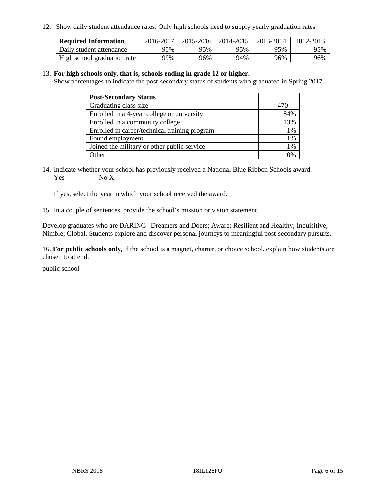12. Show daily student attendance rates. Only high schools need to supply yearly graduation rates.

| <b>Required Information</b> | 2016-2017 | 2015-2016 | 2014-2015 | 2013-2014 | 2012-2013 |
|-----------------------------|-----------|-----------|-----------|-----------|-----------|
| Daily student attendance    | 95%       | 95%       | 95%       | 95%       | 95%       |
| High school graduation rate | 99%       | 96%       | 94%       | 96%       | 96%       |

#### 13. **For high schools only, that is, schools ending in grade 12 or higher.**

Show percentages to indicate the post-secondary status of students who graduated in Spring 2017.

| <b>Post-Secondary Status</b>                  |     |
|-----------------------------------------------|-----|
| Graduating class size                         | 470 |
| Enrolled in a 4-year college or university    | 84% |
| Enrolled in a community college               | 13% |
| Enrolled in career/technical training program | 1%  |
| Found employment                              | 1%  |
| Joined the military or other public service   | 1%  |
| Other                                         |     |

14. Indicate whether your school has previously received a National Blue Ribbon Schools award. Yes No X

If yes, select the year in which your school received the award.

15. In a couple of sentences, provide the school's mission or vision statement.

Develop graduates who are DARING--Dreamers and Doers; Aware; Resilient and Healthy; Inquisitive; Nimble; Global. Students explore and discover personal journeys to meaningful post-secondary pursuits.

16. **For public schools only**, if the school is a magnet, charter, or choice school, explain how students are chosen to attend.

public school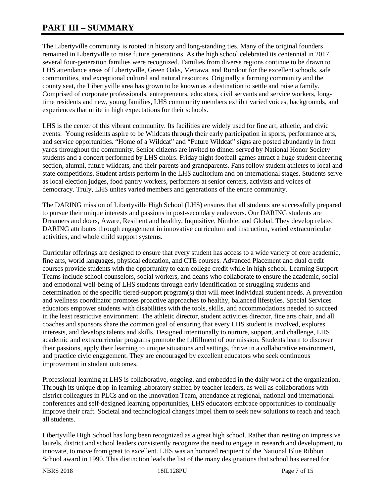# **PART III – SUMMARY**

The Libertyville community is rooted in history and long-standing ties. Many of the original founders remained in Libertyville to raise future generations. As the high school celebrated its centennial in 2017, several four-generation families were recognized. Families from diverse regions continue to be drawn to LHS attendance areas of Libertyville, Green Oaks, Mettawa, and Rondout for the excellent schools, safe communities, and exceptional cultural and natural resources. Originally a farming community and the county seat, the Libertyville area has grown to be known as a destination to settle and raise a family. Comprised of corporate professionals, entrepreneurs, educators, civil servants and service workers, longtime residents and new, young families, LHS community members exhibit varied voices, backgrounds, and experiences that unite in high expectations for their schools.

LHS is the center of this vibrant community. Its facilities are widely used for fine art, athletic, and civic events. Young residents aspire to be Wildcats through their early participation in sports, performance arts, and service opportunities. "Home of a Wildcat" and "Future Wildcat" signs are posted abundantly in front yards throughout the community. Senior citizens are invited to dinner served by National Honor Society students and a concert performed by LHS choirs. Friday night football games attract a huge student cheering section, alumni, future wildcats, and their parents and grandparents. Fans follow student athletes to local and state competitions. Student artists perform in the LHS auditorium and on international stages. Students serve as local election judges, food pantry workers, performers at senior centers, activists and voices of democracy. Truly, LHS unites varied members and generations of the entire community.

The DARING mission of Libertyville High School (LHS) ensures that all students are successfully prepared to pursue their unique interests and passions in post-secondary endeavors. Our DARING students are Dreamers and doers, Aware, Resilient and healthy, Inquisitive, Nimble, and Global. They develop related DARING attributes through engagement in innovative curriculum and instruction, varied extracurricular activities, and whole child support systems.

Curricular offerings are designed to ensure that every student has access to a wide variety of core academic, fine arts, world languages, physical education, and CTE courses. Advanced Placement and dual credit courses provide students with the opportunity to earn college credit while in high school. Learning Support Teams include school counselors, social workers, and deans who collaborate to ensure the academic, social and emotional well-being of LHS students through early identification of struggling students and determination of the specific tiered-support program(s) that will meet individual student needs. A prevention and wellness coordinator promotes proactive approaches to healthy, balanced lifestyles. Special Services educators empower students with disabilities with the tools, skills, and accommodations needed to succeed in the least restrictive environment. The athletic director, student activities director, fine arts chair, and all coaches and sponsors share the common goal of ensuring that every LHS student is involved, explores interests, and develops talents and skills. Designed intentionally to nurture, support, and challenge, LHS academic and extracurricular programs promote the fulfillment of our mission. Students learn to discover their passions, apply their learning to unique situations and settings, thrive in a collaborative environment, and practice civic engagement. They are encouraged by excellent educators who seek continuous improvement in student outcomes.

Professional learning at LHS is collaborative, ongoing, and embedded in the daily work of the organization. Through its unique drop-in learning laboratory staffed by teacher leaders, as well as collaborations with district colleagues in PLCs and on the Innovation Team, attendance at regional, national and international conferences and self-designed learning opportunities, LHS educators embrace opportunities to continually improve their craft. Societal and technological changes impel them to seek new solutions to reach and teach all students.

Libertyville High School has long been recognized as a great high school. Rather than resting on impressive laurels, district and school leaders consistently recognize the need to engage in research and development, to innovate, to move from great to excellent. LHS was an honored recipient of the National Blue Ribbon School award in 1990. This distinction leads the list of the many designations that school has earned for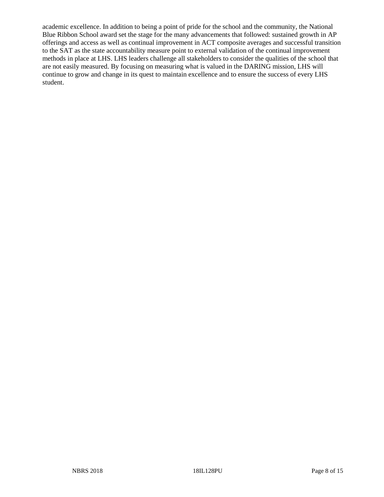academic excellence. In addition to being a point of pride for the school and the community, the National Blue Ribbon School award set the stage for the many advancements that followed: sustained growth in AP offerings and access as well as continual improvement in ACT composite averages and successful transition to the SAT as the state accountability measure point to external validation of the continual improvement methods in place at LHS. LHS leaders challenge all stakeholders to consider the qualities of the school that are not easily measured. By focusing on measuring what is valued in the DARING mission, LHS will continue to grow and change in its quest to maintain excellence and to ensure the success of every LHS student.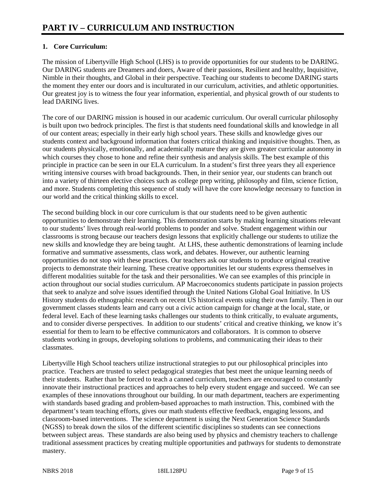# **1. Core Curriculum:**

The mission of Libertyville High School (LHS) is to provide opportunities for our students to be DARING. Our DARING students are Dreamers and doers, Aware of their passions, Resilient and healthy, Inquisitive, Nimble in their thoughts, and Global in their perspective. Teaching our students to become DARING starts the moment they enter our doors and is inculturated in our curriculum, activities, and athletic opportunities. Our greatest joy is to witness the four year information, experiential, and physical growth of our students to lead DARING lives.

The core of our DARING mission is housed in our academic curriculum. Our overall curricular philosophy is built upon two bedrock principles. The first is that students need foundational skills and knowledge in all of our content areas; especially in their early high school years. These skills and knowledge gives our students context and background information that fosters critical thinking and inquisitive thoughts. Then, as our students physically, emotionally, and academically mature they are given greater curricular autonomy in which courses they chose to hone and refine their synthesis and analysis skills. The best example of this principle in practice can be seen in our ELA curriculum. In a student's first three years they all experience writing intensive courses with broad backgrounds. Then, in their senior year, our students can branch out into a variety of thirteen elective choices such as college prep writing, philosophy and film, science fiction, and more. Students completing this sequence of study will have the core knowledge necessary to function in our world and the critical thinking skills to excel.

The second building block in our core curriculum is that our students need to be given authentic opportunities to demonstrate their learning. This demonstration starts by making learning situations relevant to our students' lives through real-world problems to ponder and solve. Student engagement within our classrooms is strong because our teachers design lessons that explicitly challenge our students to utilize the new skills and knowledge they are being taught. At LHS, these authentic demonstrations of learning include formative and summative assessments, class work, and debates. However, our authentic learning opportunities do not stop with these practices. Our teachers ask our students to produce original creative projects to demonstrate their learning. These creative opportunities let our students express themselves in different modalities suitable for the task and their personalities. We can see examples of this principle in action throughout our social studies curriculum. AP Macroeconomics students participate in passion projects that seek to analyze and solve issues identified through the United Nations Global Goal Initiative. In US History students do ethnographic research on recent US historical events using their own family. Then in our government classes students learn and carry out a civic action campaign for change at the local, state, or federal level. Each of these learning tasks challenges our students to think critically, to evaluate arguments, and to consider diverse perspectives. In addition to our students' critical and creative thinking, we know it's essential for them to learn to be effective communicators and collaborators. It is common to observe students working in groups, developing solutions to problems, and communicating their ideas to their classmates.

Libertyville High School teachers utilize instructional strategies to put our philosophical principles into practice. Teachers are trusted to select pedagogical strategies that best meet the unique learning needs of their students. Rather than be forced to teach a canned curriculum, teachers are encouraged to constantly innovate their instructional practices and approaches to help every student engage and succeed. We can see examples of these innovations throughout our building. In our math department, teachers are experimenting with standards based grading and problem-based approaches to math instruction. This, combined with the department's team teaching efforts, gives our math students effective feedback, engaging lessons, and classroom-based interventions. The science department is using the Next Generation Science Standards (NGSS) to break down the silos of the different scientific disciplines so students can see connections between subject areas. These standards are also being used by physics and chemistry teachers to challenge traditional assessment practices by creating multiple opportunities and pathways for students to demonstrate mastery.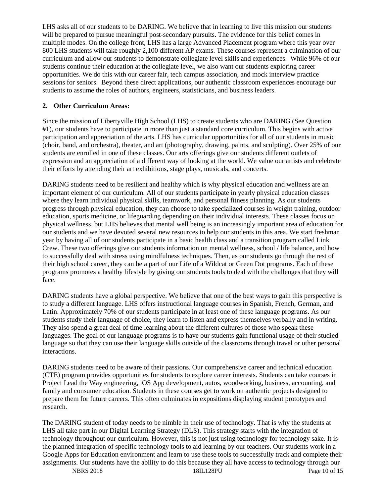LHS asks all of our students to be DARING. We believe that in learning to live this mission our students will be prepared to pursue meaningful post-secondary pursuits. The evidence for this belief comes in multiple modes. On the college front, LHS has a large Advanced Placement program where this year over 800 LHS students will take roughly 2,100 different AP exams. These courses represent a culmination of our curriculum and allow our students to demonstrate collegiate level skills and experiences. While 96% of our students continue their education at the collegiate level, we also want our students exploring career opportunities. We do this with our career fair, tech campus association, and mock interview practice sessions for seniors. Beyond these direct applications, our authentic classroom experiences encourage our students to assume the roles of authors, engineers, statisticians, and business leaders.

## **2. Other Curriculum Areas:**

Since the mission of Libertyville High School (LHS) to create students who are DARING (See Question #1), our students have to participate in more than just a standard core curriculum. This begins with active participation and appreciation of the arts. LHS has curricular opportunities for all of our students in music (choir, band, and orchestra), theater, and art (photography, drawing, paints, and sculpting). Over 25% of our students are enrolled in one of these classes. Our arts offerings give our students different outlets of expression and an appreciation of a different way of looking at the world. We value our artists and celebrate their efforts by attending their art exhibitions, stage plays, musicals, and concerts.

DARING students need to be resilient and healthy which is why physical education and wellness are an important element of our curriculum. All of our students participate in yearly physical education classes where they learn individual physical skills, teamwork, and personal fitness planning. As our students progress through physical education, they can choose to take specialized courses in weight training, outdoor education, sports medicine, or lifeguarding depending on their individual interests. These classes focus on physical wellness, but LHS believes that mental well being is an increasingly important area of education for our students and we have devoted several new resources to help our students in this area. We start freshman year by having all of our students participate in a basic health class and a transition program called Link Crew. These two offerings give our students information on mental wellness, school / life balance, and how to successfully deal with stress using mindfulness techniques. Then, as our students go through the rest of their high school career, they can be a part of our Life of a Wildcat or Green Dot programs. Each of these programs promotes a healthy lifestyle by giving our students tools to deal with the challenges that they will face.

DARING students have a global perspective. We believe that one of the best ways to gain this perspective is to study a different language. LHS offers instructional language courses in Spanish, French, German, and Latin. Approximately 70% of our students participate in at least one of these language programs. As our students study their language of choice, they learn to listen and express themselves verbally and in writing. They also spend a great deal of time learning about the different cultures of those who speak these languages. The goal of our language programs is to have our students gain functional usage of their studied language so that they can use their language skills outside of the classrooms through travel or other personal interactions.

DARING students need to be aware of their passions. Our comprehensive career and technical education (CTE) program provides opportunities for students to explore career interests. Students can take courses in Project Lead the Way engineering, iOS App development, autos, woodworking, business, accounting, and family and consumer education. Students in these courses get to work on authentic projects designed to prepare them for future careers. This often culminates in expositions displaying student prototypes and research.

The DARING student of today needs to be nimble in their use of technology. That is why the students at LHS all take part in our Digital Learning Strategy (DLS). This strategy starts with the integration of technology throughout our curriculum. However, this is not just using technology for technology sake. It is the planned integration of specific technology tools to aid learning by our teachers. Our students work in a Google Apps for Education environment and learn to use these tools to successfully track and complete their assignments. Our students have the ability to do this because they all have access to technology through our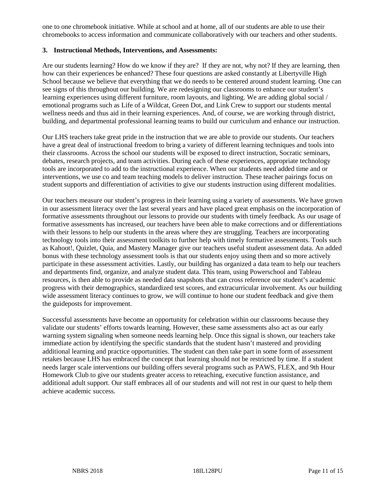one to one chromebook initiative. While at school and at home, all of our students are able to use their chromebooks to access information and communicate collaboratively with our teachers and other students.

#### **3. Instructional Methods, Interventions, and Assessments:**

Are our students learning? How do we know if they are? If they are not, why not? If they are learning, then how can their experiences be enhanced? These four questions are asked constantly at Libertyville High School because we believe that everything that we do needs to be centered around student learning. One can see signs of this throughout our building. We are redesigning our classrooms to enhance our student's learning experiences using different furniture, room layouts, and lighting. We are adding global social / emotional programs such as Life of a Wildcat, Green Dot, and Link Crew to support our students mental wellness needs and thus aid in their learning experiences. And, of course, we are working through district, building, and departmental professional learning teams to build our curriculum and enhance our instruction.

Our LHS teachers take great pride in the instruction that we are able to provide our students. Our teachers have a great deal of instructional freedom to bring a variety of different learning techniques and tools into their classrooms. Across the school our students will be exposed to direct instruction, Socratic seminars, debates, research projects, and team activities. During each of these experiences, appropriate technology tools are incorporated to add to the instructional experience. When our students need added time and or interventions, we use co and team teaching models to deliver instruction. These teacher pairings focus on student supports and differentiation of activities to give our students instruction using different modalities.

Our teachers measure our student's progress in their learning using a variety of assessments. We have grown in our assessment literacy over the last several years and have placed great emphasis on the incorporation of formative assessments throughout our lessons to provide our students with timely feedback. As our usage of formative assessments has increased, our teachers have been able to make corrections and or differentiations with their lessons to help our students in the areas where they are struggling. Teachers are incorporating technology tools into their assessment toolkits to further help with timely formative assessments. Tools such as Kahoot!, Quizlet, Quia, and Mastery Manager give our teachers useful student assessment data. An added bonus with these technology assessment tools is that our students enjoy using them and so more actively participate in these assessment activities. Lastly, our building has organized a data team to help our teachers and departments find, organize, and analyze student data. This team, using Powerschool and Tableau resources, is then able to provide as needed data snapshots that can cross reference our student's academic progress with their demographics, standardized test scores, and extracurricular involvement. As our building wide assessment literacy continues to grow, we will continue to hone our student feedback and give them the guideposts for improvement.

Successful assessments have become an opportunity for celebration within our classrooms because they validate our students' efforts towards learning. However, these same assessments also act as our early warning system signaling when someone needs learning help. Once this signal is shown, our teachers take immediate action by identifying the specific standards that the student hasn't mastered and providing additional learning and practice opportunities. The student can then take part in some form of assessment retakes because LHS has embraced the concept that learning should not be restricted by time. If a student needs larger scale interventions our building offers several programs such as PAWS, FLEX, and 9th Hour Homework Club to give our students greater access to reteaching, executive function assistance, and additional adult support. Our staff embraces all of our students and will not rest in our quest to help them achieve academic success.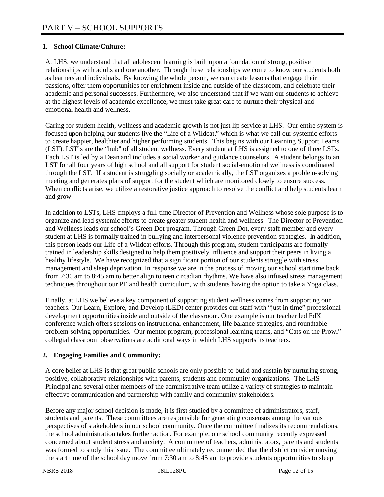# **1. School Climate/Culture:**

At LHS, we understand that all adolescent learning is built upon a foundation of strong, positive relationships with adults and one another. Through these relationships we come to know our students both as learners and individuals. By knowing the whole person, we can create lessons that engage their passions, offer them opportunities for enrichment inside and outside of the classroom, and celebrate their academic and personal successes. Furthermore, we also understand that if we want our students to achieve at the highest levels of academic excellence, we must take great care to nurture their physical and emotional health and wellness.

Caring for student health, wellness and academic growth is not just lip service at LHS. Our entire system is focused upon helping our students live the "Life of a Wildcat," which is what we call our systemic efforts to create happier, healthier and higher performing students. This begins with our Learning Support Teams (LST). LST's are the "hub" of all student wellness. Every student at LHS is assigned to one of three LSTs. Each LST is led by a Dean and includes a social worker and guidance counselors. A student belongs to an LST for all four years of high school and all support for student social-emotional wellness is coordinated through the LST. If a student is struggling socially or academically, the LST organizes a problem-solving meeting and generates plans of support for the student which are monitored closely to ensure success. When conflicts arise, we utilize a restorative justice approach to resolve the conflict and help students learn and grow.

In addition to LSTs, LHS employs a full-time Director of Prevention and Wellness whose sole purpose is to organize and lead systemic efforts to create greater student health and wellness. The Director of Prevention and Wellness leads our school's Green Dot program. Through Green Dot, every staff member and every student at LHS is formally trained in bullying and interpersonal violence prevention strategies. In addition, this person leads our Life of a Wildcat efforts. Through this program, student participants are formally trained in leadership skills designed to help them positively influence and support their peers in living a healthy lifestyle. We have recognized that a significant portion of our students struggle with stress management and sleep deprivation. In response we are in the process of moving our school start time back from 7:30 am to 8:45 am to better align to teen circadian rhythms. We have also infused stress management techniques throughout our PE and health curriculum, with students having the option to take a Yoga class.

Finally, at LHS we believe a key component of supporting student wellness comes from supporting our teachers. Our Learn, Explore, and Develop (LED) center provides our staff with "just in time" professional development opportunities inside and outside of the classroom. One example is our teacher led EdX conference which offers sessions on instructional enhancement, life balance strategies, and roundtable problem-solving opportunities. Our mentor program, professional learning teams, and "Cats on the Prowl" collegial classroom observations are additional ways in which LHS supports its teachers.

#### **2. Engaging Families and Community:**

A core belief at LHS is that great public schools are only possible to build and sustain by nurturing strong, positive, collaborative relationships with parents, students and community organizations. The LHS Principal and several other members of the administrative team utilize a variety of strategies to maintain effective communication and partnership with family and community stakeholders.

Before any major school decision is made, it is first studied by a committee of administrators, staff, students and parents. These committees are responsible for generating consensus among the various perspectives of stakeholders in our school community. Once the committee finalizes its recommendations, the school administration takes further action. For example, our school community recently expressed concerned about student stress and anxiety. A committee of teachers, administrators, parents and students was formed to study this issue. The committee ultimately recommended that the district consider moving the start time of the school day move from 7:30 am to 8:45 am to provide students opportunities to sleep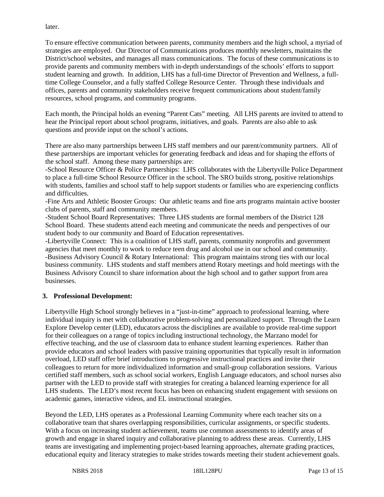later.

To ensure effective communication between parents, community members and the high school, a myriad of strategies are employed. Our Director of Communications produces monthly newsletters, maintains the District/school websites, and manages all mass communications. The focus of these communications is to provide parents and community members with in-depth understandings of the schools' efforts to support student learning and growth. In addition, LHS has a full-time Director of Prevention and Wellness, a fulltime College Counselor, and a fully staffed College Resource Center. Through these individuals and offices, parents and community stakeholders receive frequent communications about student/family resources, school programs, and community programs.

Each month, the Principal holds an evening "Parent Cats" meeting. All LHS parents are invited to attend to hear the Principal report about school programs, initiatives, and goals. Parents are also able to ask questions and provide input on the school's actions.

There are also many partnerships between LHS staff members and our parent/community partners. All of these partnerships are important vehicles for generating feedback and ideas and for shaping the efforts of the school staff. Among these many partnerships are:

-School Resource Officer & Police Partnerships: LHS collaborates with the Libertyville Police Department to place a full-time School Resource Officer in the school. The SRO builds strong, positive relationships with students, families and school staff to help support students or families who are experiencing conflicts and difficulties.

-Fine Arts and Athletic Booster Groups: Our athletic teams and fine arts programs maintain active booster clubs of parents, staff and community members.

-Student School Board Representatives: Three LHS students are formal members of the District 128 School Board. These students attend each meeting and communicate the needs and perspectives of our student body to our community and Board of Education representatives.

-Libertyville Connect: This is a coalition of LHS staff, parents, community nonprofits and government agencies that meet monthly to work to reduce teen drug and alcohol use in our school and community. -Business Advisory Council & Rotary International: This program maintains strong ties with our local business community. LHS students and staff members attend Rotary meetings and hold meetings with the Business Advisory Council to share information about the high school and to gather support from area businesses.

#### **3. Professional Development:**

Libertyville High School strongly believes in a "just-in-time" approach to professional learning, where individual inquiry is met with collaborative problem-solving and personalized support. Through the Learn Explore Develop center (LED), educators across the disciplines are available to provide real-time support for their colleagues on a range of topics including instructional technology, the Marzano model for effective teaching, and the use of classroom data to enhance student learning experiences. Rather than provide educators and school leaders with passive training opportunities that typically result in information overload, LED staff offer brief introductions to progressive instructional practices and invite their colleagues to return for more individualized information and small-group collaboration sessions. Various certified staff members, such as school social workers, English Language educators, and school nurses also partner with the LED to provide staff with strategies for creating a balanced learning experience for all LHS students. The LED's most recent focus has been on enhancing student engagement with sessions on academic games, interactive videos, and EL instructional strategies.

Beyond the LED, LHS operates as a Professional Learning Community where each teacher sits on a collaborative team that shares overlapping responsibilities, curricular assignments, or specific students. With a focus on increasing student achievement, teams use common assessments to identify areas of growth and engage in shared inquiry and collaborative planning to address these areas. Currently, LHS teams are investigating and implementing project-based learning approaches, alternate grading practices, educational equity and literacy strategies to make strides towards meeting their student achievement goals.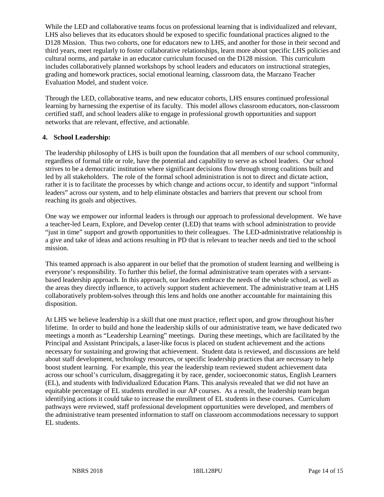While the LED and collaborative teams focus on professional learning that is individualized and relevant, LHS also believes that its educators should be exposed to specific foundational practices aligned to the D128 Mission. Thus two cohorts, one for educators new to LHS, and another for those in their second and third years, meet regularly to foster collaborative relationships, learn more about specific LHS policies and cultural norms, and partake in an educator curriculum focused on the D128 mission. This curriculum includes collaboratively planned workshops by school leaders and educators on instructional strategies, grading and homework practices, social emotional learning, classroom data, the Marzano Teacher Evaluation Model, and student voice.

Through the LED, collaborative teams, and new educator cohorts, LHS ensures continued professional learning by harnessing the expertise of its faculty. This model allows classroom educators, non-classroom certified staff, and school leaders alike to engage in professional growth opportunities and support networks that are relevant, effective, and actionable.

## **4. School Leadership:**

The leadership philosophy of LHS is built upon the foundation that all members of our school community, regardless of formal title or role, have the potential and capability to serve as school leaders. Our school strives to be a democratic institution where significant decisions flow through strong coalitions built and led by all stakeholders. The role of the formal school administration is not to direct and dictate action, rather it is to facilitate the processes by which change and actions occur, to identify and support "informal leaders" across our system, and to help eliminate obstacles and barriers that prevent our school from reaching its goals and objectives.

One way we empower our informal leaders is through our approach to professional development. We have a teacher-led Learn, Explore, and Develop center (LED) that teams with school administration to provide "just in time" support and growth opportunities to their colleagues. The LED-administrative relationship is a give and take of ideas and actions resulting in PD that is relevant to teacher needs and tied to the school mission.

This teamed approach is also apparent in our belief that the promotion of student learning and wellbeing is everyone's responsibility. To further this belief, the formal administrative team operates with a servantbased leadership approach. In this approach, our leaders embrace the needs of the whole school, as well as the areas they directly influence, to actively support student achievement. The administrative team at LHS collaboratively problem-solves through this lens and holds one another accountable for maintaining this disposition.

At LHS we believe leadership is a skill that one must practice, reflect upon, and grow throughout his/her lifetime. In order to build and hone the leadership skills of our administrative team, we have dedicated two meetings a month as "Leadership Learning" meetings. During these meetings, which are facilitated by the Principal and Assistant Principals, a laser-like focus is placed on student achievement and the actions necessary for sustaining and growing that achievement. Student data is reviewed, and discussions are held about staff development, technology resources, or specific leadership practices that are necessary to help boost student learning. For example, this year the leadership team reviewed student achievement data across our school's curriculum, disaggregating it by race, gender, socioeconomic status, English Learners (EL), and students with Individualized Education Plans. This analysis revealed that we did not have an equitable percentage of EL students enrolled in our AP courses. As a result, the leadership team began identifying actions it could take to increase the enrollment of EL students in these courses. Curriculum pathways were reviewed, staff professional development opportunities were developed, and members of the administrative team presented information to staff on classroom accommodations necessary to support EL students.